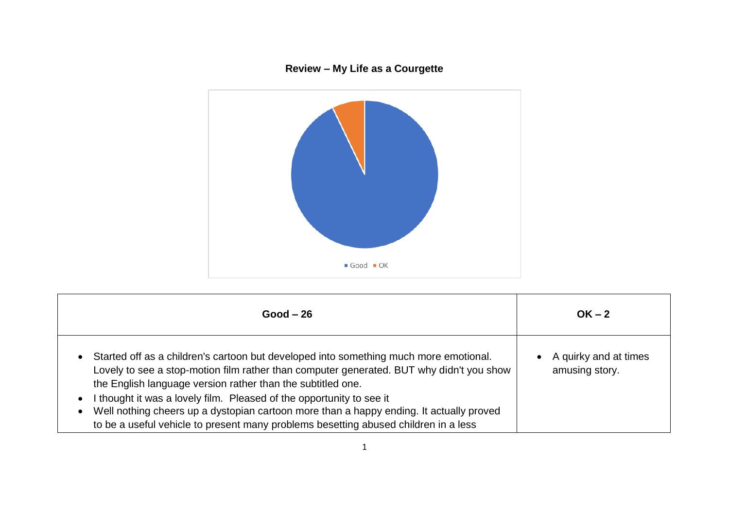## **Review – My Life as a Courgette**



| $Good - 26$                                                                                                                                                                                                                                                                                                                                                                                                                                                                                                  | $OK - 2$                                |
|--------------------------------------------------------------------------------------------------------------------------------------------------------------------------------------------------------------------------------------------------------------------------------------------------------------------------------------------------------------------------------------------------------------------------------------------------------------------------------------------------------------|-----------------------------------------|
| • Started off as a children's cartoon but developed into something much more emotional.<br>Lovely to see a stop-motion film rather than computer generated. BUT why didn't you show<br>the English language version rather than the subtitled one.<br>I thought it was a lovely film. Pleased of the opportunity to see it<br>Well nothing cheers up a dystopian cartoon more than a happy ending. It actually proved<br>to be a useful vehicle to present many problems besetting abused children in a less | A quirky and at times<br>amusing story. |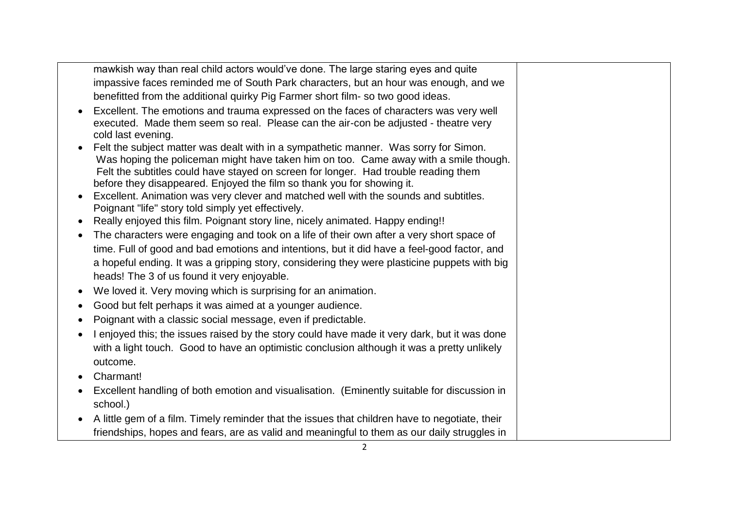mawkish way than real child actors would've done. The large staring eyes and quite impassive faces reminded me of South Park characters, but an hour was enough, and we benefitted from the additional quirky Pig Farmer short film- so two good ideas.

- Excellent. The emotions and trauma expressed on the faces of characters was very well executed. Made them seem so real. Please can the air-con be adjusted - theatre very cold last evening.
- Felt the subject matter was dealt with in a sympathetic manner. Was sorry for Simon. Was hoping the policeman might have taken him on too. Came away with a smile though. Felt the subtitles could have stayed on screen for longer. Had trouble reading them before they disappeared. Enjoyed the film so thank you for showing it.
- Excellent. Animation was very clever and matched well with the sounds and subtitles. Poignant "life" story told simply yet effectively.
- Really enjoyed this film. Poignant story line, nicely animated. Happy ending!!
- The characters were engaging and took on a life of their own after a very short space of time. Full of good and bad emotions and intentions, but it did have a feel-good factor, and a hopeful ending. It was a gripping story, considering they were plasticine puppets with big heads! The 3 of us found it very enjoyable.
- We loved it. Very moving which is surprising for an animation.
- Good but felt perhaps it was aimed at a younger audience.
- Poignant with a classic social message, even if predictable.
- I enjoyed this; the issues raised by the story could have made it very dark, but it was done with a light touch. Good to have an optimistic conclusion although it was a pretty unlikely outcome.
- Charmant!
- Excellent handling of both emotion and visualisation. (Eminently suitable for discussion in school.)
- A little gem of a film. Timely reminder that the issues that children have to negotiate, their friendships, hopes and fears, are as valid and meaningful to them as our daily struggles in